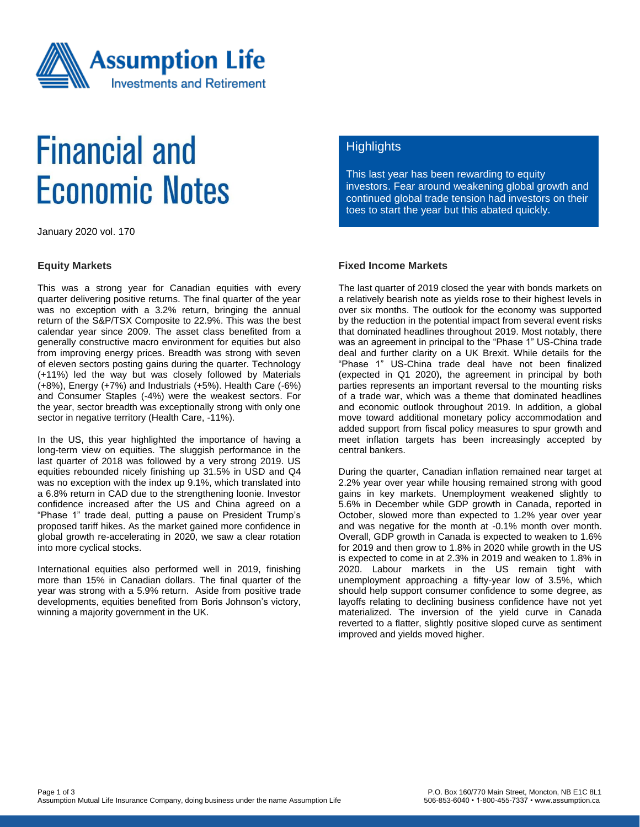

# **Financial and Economic Notes**

January 2020 vol. 170

#### **Equity Markets**

This was a strong year for Canadian equities with every quarter delivering positive returns. The final quarter of the year was no exception with a 3.2% return, bringing the annual return of the S&P/TSX Composite to 22.9%. This was the best calendar year since 2009. The asset class benefited from a generally constructive macro environment for equities but also from improving energy prices. Breadth was strong with seven of eleven sectors posting gains during the quarter. Technology (+11%) led the way but was closely followed by Materials (+8%), Energy (+7%) and Industrials (+5%). Health Care (-6%) and Consumer Staples (-4%) were the weakest sectors. For the year, sector breadth was exceptionally strong with only one sector in negative territory (Health Care, -11%).

In the US, this year highlighted the importance of having a long-term view on equities. The sluggish performance in the last quarter of 2018 was followed by a very strong 2019. US equities rebounded nicely finishing up 31.5% in USD and Q4 was no exception with the index up 9.1%, which translated into a 6.8% return in CAD due to the strengthening loonie. Investor confidence increased after the US and China agreed on a "Phase 1" trade deal, putting a pause on President Trump's proposed tariff hikes. As the market gained more confidence in global growth re-accelerating in 2020, we saw a clear rotation into more cyclical stocks.

International equities also performed well in 2019, finishing more than 15% in Canadian dollars. The final quarter of the year was strong with a 5.9% return. Aside from positive trade developments, equities benefited from Boris Johnson's victory, winning a majority government in the UK.

# **Highlights**

This last year has been rewarding to equity investors. Fear around weakening global growth and continued global trade tension had investors on their toes to start the year but this abated quickly.

### **Fixed Income Markets**

The last quarter of 2019 closed the year with bonds markets on a relatively bearish note as yields rose to their highest levels in over six months. The outlook for the economy was supported by the reduction in the potential impact from several event risks that dominated headlines throughout 2019. Most notably, there was an agreement in principal to the "Phase 1" US-China trade deal and further clarity on a UK Brexit. While details for the "Phase 1" US-China trade deal have not been finalized (expected in Q1 2020), the agreement in principal by both parties represents an important reversal to the mounting risks of a trade war, which was a theme that dominated headlines and economic outlook throughout 2019. In addition, a global move toward additional monetary policy accommodation and added support from fiscal policy measures to spur growth and meet inflation targets has been increasingly accepted by central bankers.

During the quarter, Canadian inflation remained near target at 2.2% year over year while housing remained strong with good gains in key markets. Unemployment weakened slightly to 5.6% in December while GDP growth in Canada, reported in October, slowed more than expected to 1.2% year over year and was negative for the month at -0.1% month over month. Overall, GDP growth in Canada is expected to weaken to 1.6% for 2019 and then grow to 1.8% in 2020 while growth in the US is expected to come in at 2.3% in 2019 and weaken to 1.8% in 2020. Labour markets in the US remain tight with unemployment approaching a fifty-year low of 3.5%, which should help support consumer confidence to some degree, as layoffs relating to declining business confidence have not yet materialized. The inversion of the yield curve in Canada reverted to a flatter, slightly positive sloped curve as sentiment improved and yields moved higher.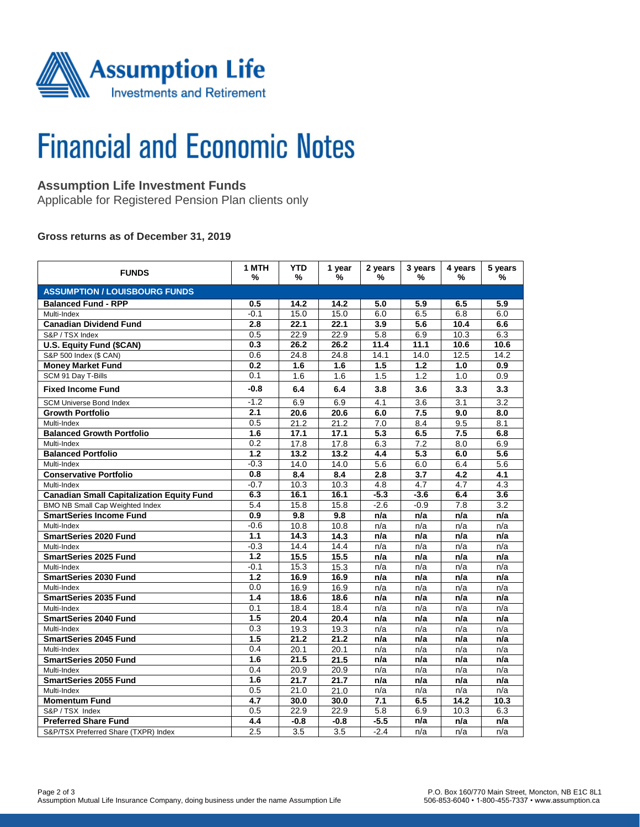

# **Financial and Economic Notes**

## **Assumption Life Investment Funds**

Applicable for Registered Pension Plan clients only

### **Gross returns as of December 31, 2019**

| <b>FUNDS</b>                                     | 1 MTH<br>%       | <b>YTD</b><br>% | 1 year<br>% | 2 years<br>%     | 3 years<br>% | 4 years<br>%     | 5 years<br>%     |  |  |  |  |
|--------------------------------------------------|------------------|-----------------|-------------|------------------|--------------|------------------|------------------|--|--|--|--|
| <b>ASSUMPTION / LOUISBOURG FUNDS</b>             |                  |                 |             |                  |              |                  |                  |  |  |  |  |
| <b>Balanced Fund - RPP</b>                       | 0.5              | 14.2            | 14.2        | 5.0              | 5.9          | 6.5              | 5.9              |  |  |  |  |
| Multi-Index                                      | $-0.1$           | 15.0            | 15.0        | 6.0              | 6.5          | 6.8              | 6.0              |  |  |  |  |
| <b>Canadian Dividend Fund</b>                    | 2.8              | 22.1            | 22.1        | 3.9              | 5.6          | 10.4             | 6.6              |  |  |  |  |
| S&P / TSX Index                                  | 0.5              | 22.9            | 22.9        | 5.8              | 6.9          | 10.3             | 6.3              |  |  |  |  |
| U.S. Equity Fund (\$CAN)                         | 0.3              | 26.2            | 26.2        | 11.4             | 11.1         | 10.6             | 10.6             |  |  |  |  |
| S&P 500 Index (\$ CAN)                           | 0.6              | 24.8            | 24.8        | 14.1             | 14.0         | 12.5             | 14.2             |  |  |  |  |
| <b>Money Market Fund</b>                         | 0.2              | 1.6             | 1.6         | 1.5              | 1.2          | 1.0              | 0.9              |  |  |  |  |
| SCM 91 Day T-Bills                               | 0.1              | 1.6             | 1.6         | 1.5              | 1.2          | $\overline{1.0}$ | 0.9              |  |  |  |  |
| <b>Fixed Income Fund</b>                         | $-0.8$           | 6.4             | 6.4         | 3.8              | 3.6          | 3.3              | 3.3              |  |  |  |  |
| <b>SCM Universe Bond Index</b>                   | $-1.2$           | 6.9             | 6.9         | 4.1              | 3.6          | 3.1              | 3.2              |  |  |  |  |
| <b>Growth Portfolio</b>                          | 2.1              | 20.6            | 20.6        | 6.0              | 7.5          | 9.0              | 8.0              |  |  |  |  |
| Multi-Index                                      | 0.5              | 21.2            | 21.2        | 7.0              | 8.4          | 9.5              | 8.1              |  |  |  |  |
| <b>Balanced Growth Portfolio</b>                 | 1.6              | 17.1            | 17.1        | $\overline{5.3}$ | 6.5          | 7.5              | 6.8              |  |  |  |  |
| Multi-Index                                      | 0.2              | 17.8            | 17.8        | 6.3              | 7.2          | 8.0              | 6.9              |  |  |  |  |
| <b>Balanced Portfolio</b>                        | 1.2              | 13.2            | 13.2        | 4.4              | 5.3          | 6.0              | 5.6              |  |  |  |  |
| Multi-Index                                      | $-0.3$           | 14.0            | 14.0        | 5.6              | 6.0          | 6.4              | 5.6              |  |  |  |  |
| <b>Conservative Portfolio</b>                    | 0.8              | 8.4             | 8.4         | 2.8              | 3.7          | 4.2              | 4.1              |  |  |  |  |
| Multi-Index                                      | $-0.7$           | 10.3            | 10.3        | 4.8              | 4.7          | 4.7              | 4.3              |  |  |  |  |
| <b>Canadian Small Capitalization Equity Fund</b> | 6.3              | 16.1            | 16.1        | $-5.3$           | $-3.6$       | 6.4              | 3.6              |  |  |  |  |
| BMO NB Small Cap Weighted Index                  | 5.4              | 15.8            | 15.8        | $-2.6$           | $-0.9$       | 7.8              | $\overline{3.2}$ |  |  |  |  |
| <b>SmartSeries Income Fund</b>                   | 0.9              | 9.8             | 9.8         | n/a              | n/a          | n/a              | n/a              |  |  |  |  |
| Multi-Index                                      | $-0.6$           | 10.8            | 10.8        | n/a              | n/a          | n/a              | n/a              |  |  |  |  |
| <b>SmartSeries 2020 Fund</b>                     | $1.1$            | 14.3            | 14.3        | n/a              | n/a          | n/a              | n/a              |  |  |  |  |
| Multi-Index                                      | $-0.3$           | 14.4            | 14.4        | n/a              | n/a          | n/a              | n/a              |  |  |  |  |
| <b>SmartSeries 2025 Fund</b>                     | 1.2              | 15.5            | 15.5        | n/a              | n/a          | n/a              | n/a              |  |  |  |  |
| Multi-Index                                      | $-0.1$           | 15.3            | 15.3        | n/a              | n/a          | n/a              | n/a              |  |  |  |  |
| <b>SmartSeries 2030 Fund</b>                     | $\overline{1.2}$ | 16.9            | 16.9        | n/a              | n/a          | n/a              | n/a              |  |  |  |  |
| Multi-Index                                      | 0.0              | 16.9            | 16.9        | n/a              | n/a          | n/a              | n/a              |  |  |  |  |
| <b>SmartSeries 2035 Fund</b>                     | 1.4              | 18.6            | 18.6        | n/a              | n/a          | n/a              | n/a              |  |  |  |  |
| Multi-Index                                      | 0.1              | 18.4            | 18.4        | n/a              | n/a          | n/a              | n/a              |  |  |  |  |
| <b>SmartSeries 2040 Fund</b>                     | 1.5              | 20.4            | 20.4        | n/a              | n/a          | n/a              | n/a              |  |  |  |  |
| Multi-Index                                      | 0.3              | 19.3            | 19.3        | n/a              | n/a          | n/a              | n/a              |  |  |  |  |
| <b>SmartSeries 2045 Fund</b>                     | 1.5              | 21.2            | 21.2        | n/a              | n/a          | n/a              | n/a              |  |  |  |  |
| Multi-Index                                      | 0.4              | 20.1            | 20.1        | n/a              | n/a          | n/a              | n/a              |  |  |  |  |
| <b>SmartSeries 2050 Fund</b>                     | 1.6              | 21.5            | 21.5        | n/a              | n/a          | n/a              | n/a              |  |  |  |  |
| Multi-Index                                      | 0.4              | 20.9            | 20.9        | n/a              | n/a          | n/a              | n/a              |  |  |  |  |
| <b>SmartSeries 2055 Fund</b>                     | 1.6              | 21.7            | 21.7        | n/a              | n/a          | n/a              | n/a              |  |  |  |  |
| Multi-Index                                      | 0.5              | 21.0            | 21.0        | n/a              | n/a          | n/a              | n/a              |  |  |  |  |
| <b>Momentum Fund</b>                             | 4.7              | 30.0            | 30.0        | 7.1              | 6.5          | 14.2             | 10.3             |  |  |  |  |
| S&P / TSX Index                                  | 0.5              | 22.9            | 22.9        | 5.8              | 6.9          | 10.3             | 6.3              |  |  |  |  |
| <b>Preferred Share Fund</b>                      | 4.4              | $-0.8$          | $-0.8$      | $-5.5$           | n/a          | n/a              | n/a              |  |  |  |  |
| S&P/TSX Preferred Share (TXPR) Index             | 2.5              | 3.5             | 3.5         | $-2.4$           | n/a          | n/a              | n/a              |  |  |  |  |